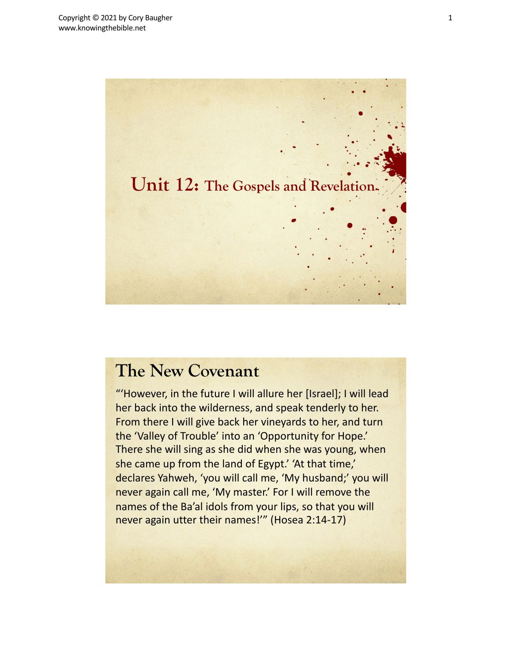

"'However, in the future I will allure her [Israel]; I will lead her back into the wilderness, and speak tenderly to her. From there I will give back her vineyards to her, and turn the 'Valley of Trouble' into an 'Opportunity for Hope.' There she will sing as she did when she was young, when she came up from the land of Egypt.' 'At that time,' declares Yahweh, 'you will call me, 'My husband;' you will never again call me, 'My master.' For I will remove the names of the Ba'al idols from your lips, so that you will never again utter their names!'" (Hosea 2:14-17)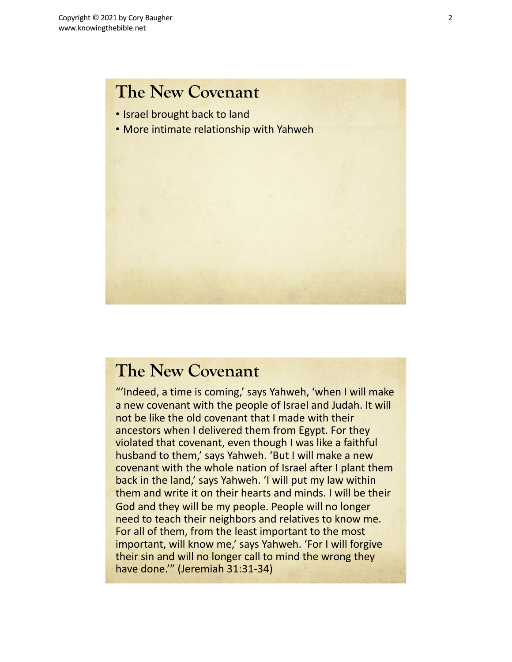- Israel brought back to land
- More intimate relationship with Yahweh



### **The New Covenant**

"'Indeed, a time is coming,' says Yahweh, 'when I will make a new covenant with the people of Israel and Judah. It will not be like the old covenant that I made with their ancestors when I delivered them from Egypt. For they violated that covenant, even though I was like a faithful husband to them,' says Yahweh. 'But I will make a new covenant with the whole nation of Israel after I plant them back in the land,' says Yahweh. 'I will put my law within them and write it on their hearts and minds. I will be their God and they will be my people. People will no longer need to teach their neighbors and relatives to know me. For all of them, from the least important to the most important, will know me,' says Yahweh. 'For I will forgive their sin and will no longer call to mind the wrong they have done.'" (Jeremiah 31:31-34)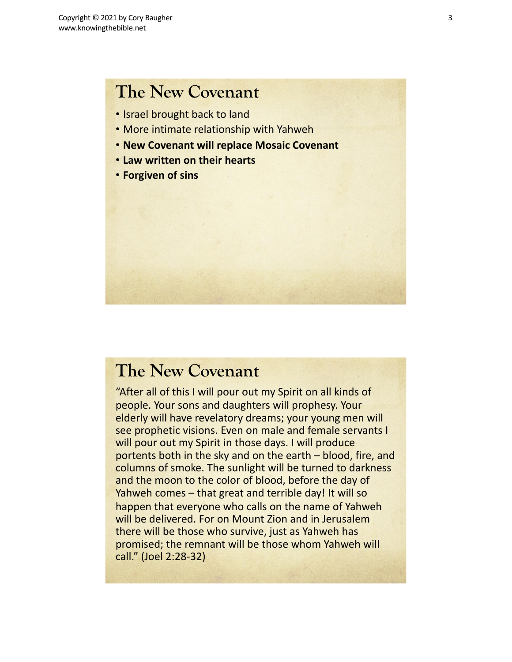- Israel brought back to land
- More intimate relationship with Yahweh
- **New Covenant will replace Mosaic Covenant**
- **Law written on their hearts**
- **Forgiven of sins**

### **The New Covenant**

"After all of this I will pour out my Spirit on all kinds of people. Your sons and daughters will prophesy. Your elderly will have revelatory dreams; your young men will see prophetic visions. Even on male and female servants I will pour out my Spirit in those days. I will produce portents both in the sky and on the earth – blood, fire, and columns of smoke. The sunlight will be turned to darkness and the moon to the color of blood, before the day of Yahweh comes – that great and terrible day! It will so happen that everyone who calls on the name of Yahweh will be delivered. For on Mount Zion and in Jerusalem there will be those who survive, just as Yahweh has promised; the remnant will be those whom Yahweh will call." (Joel 2:28-32)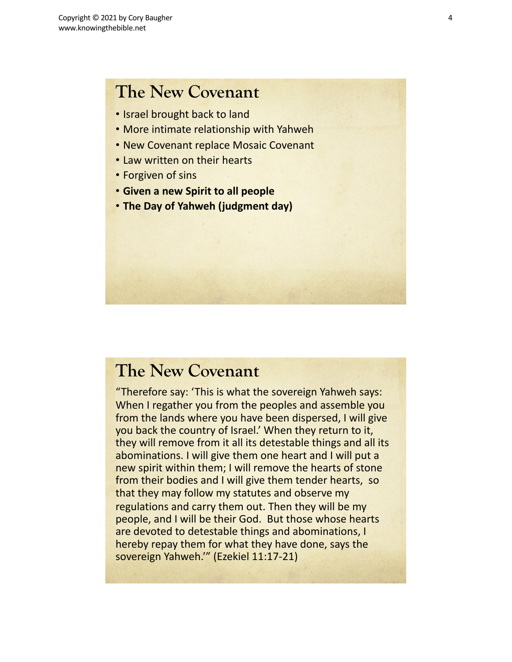- Israel brought back to land
- More intimate relationship with Yahweh
- New Covenant replace Mosaic Covenant
- Law written on their hearts
- Forgiven of sins
- **Given a new Spirit to all people**
- **The Day of Yahweh (judgment day)**

### **The New Covenant**

"Therefore say: 'This is what the sovereign Yahweh says: When I regather you from the peoples and assemble you from the lands where you have been dispersed, I will give you back the country of Israel.' When they return to it, they will remove from it all its detestable things and all its abominations. I will give them one heart and I will put a new spirit within them; I will remove the hearts of stone from their bodies and I will give them tender hearts, so that they may follow my statutes and observe my regulations and carry them out. Then they will be my people, and I will be their God. But those whose hearts are devoted to detestable things and abominations, I hereby repay them for what they have done, says the sovereign Yahweh.'" (Ezekiel 11:17-21)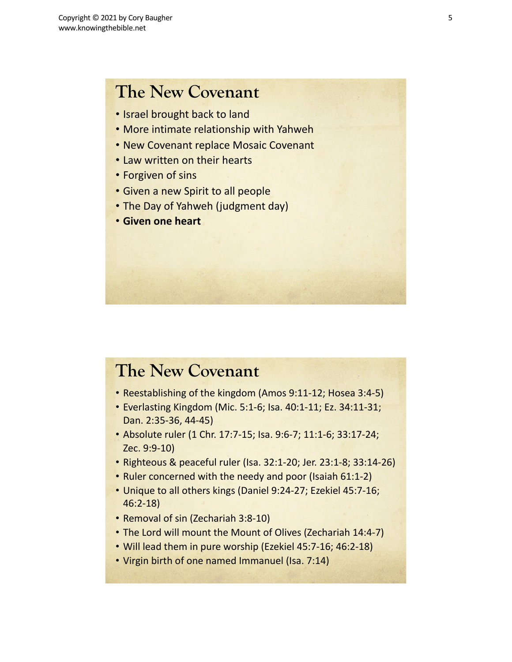- Israel brought back to land
- More intimate relationship with Yahweh
- New Covenant replace Mosaic Covenant
- Law written on their hearts
- Forgiven of sins
- Given a new Spirit to all people
- The Day of Yahweh (judgment day)
- **Given one heart**

### **The New Covenant**

- Reestablishing of the kingdom (Amos 9:11-12; Hosea 3:4-5)
- Everlasting Kingdom (Mic. 5:1-6; Isa. 40:1-11; Ez. 34:11-31; Dan. 2:35-36, 44-45)
- Absolute ruler (1 Chr. 17:7-15; Isa. 9:6-7; 11:1-6; 33:17-24; Zec. 9:9-10)
- Righteous & peaceful ruler (Isa. 32:1-20; Jer. 23:1-8; 33:14-26)
- Ruler concerned with the needy and poor (Isaiah 61:1-2)
- Unique to all others kings (Daniel 9:24-27; Ezekiel 45:7-16; 46:2-18)
- Removal of sin (Zechariah 3:8-10)
- The Lord will mount the Mount of Olives (Zechariah 14:4-7)
- Will lead them in pure worship (Ezekiel 45:7-16; 46:2-18)
- Virgin birth of one named Immanuel (Isa. 7:14)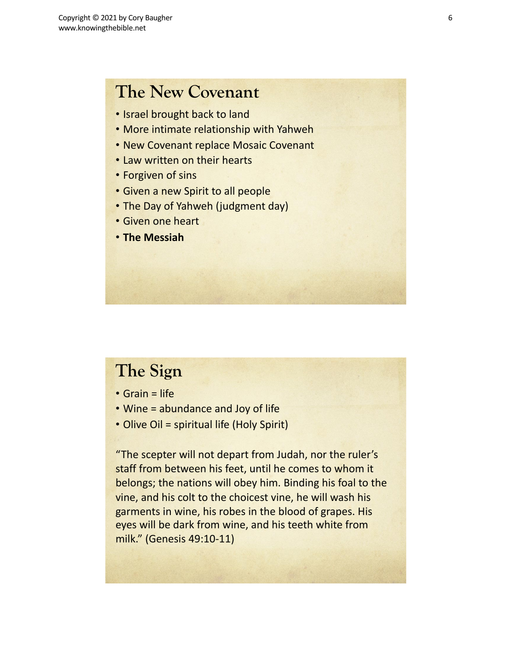- Israel brought back to land
- More intimate relationship with Yahweh
- New Covenant replace Mosaic Covenant
- Law written on their hearts
- Forgiven of sins
- Given a new Spirit to all people
- The Day of Yahweh (judgment day)
- Given one heart
- **The Messiah**

# **The Sign**

- Grain = life
- Wine = abundance and Joy of life
- Olive Oil = spiritual life (Holy Spirit)

"The scepter will not depart from Judah, nor the ruler's staff from between his feet, until he comes to whom it belongs; the nations will obey him. Binding his foal to the vine, and his colt to the choicest vine, he will wash his garments in wine, his robes in the blood of grapes. His eyes will be dark from wine, and his teeth white from milk." (Genesis 49:10-11)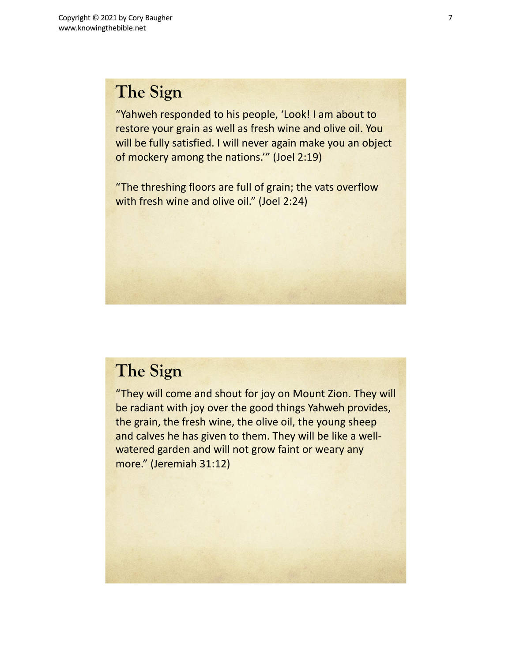# **The Sign**

"Yahweh responded to his people, 'Look! I am about to restore your grain as well as fresh wine and olive oil. You will be fully satisfied. I will never again make you an object of mockery among the nations.'" (Joel 2:19)

"The threshing floors are full of grain; the vats overflow with fresh wine and olive oil." (Joel 2:24)

## **The Sign**

"They will come and shout for joy on Mount Zion. They will be radiant with joy over the good things Yahweh provides, the grain, the fresh wine, the olive oil, the young sheep and calves he has given to them. They will be like a wellwatered garden and will not grow faint or weary any more." (Jeremiah 31:12)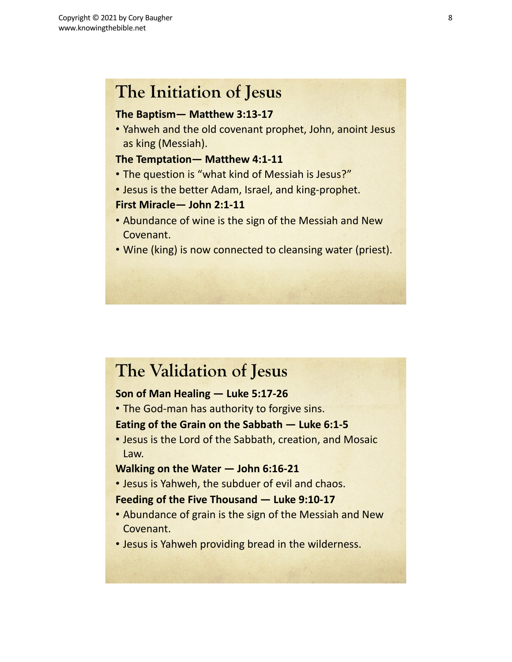## **The Initiation of Jesus**

### **The Baptism— Matthew 3:13-17**

• Yahweh and the old covenant prophet, John, anoint Jesus as king (Messiah).

### **The Temptation— Matthew 4:1-11**

- The question is "what kind of Messiah is Jesus?"
- Jesus is the better Adam, Israel, and king-prophet.

### **First Miracle— John 2:1-11**

- Abundance of wine is the sign of the Messiah and New Covenant.
- Wine (king) is now connected to cleansing water (priest).

## **The Validation of Jesus**

### **Son of Man Healing — Luke 5:17-26**

• The God-man has authority to forgive sins.

### **Eating of the Grain on the Sabbath — Luke 6:1-5**

• Jesus is the Lord of the Sabbath, creation, and Mosaic Law.

### **Walking on the Water — John 6:16-21**

• Jesus is Yahweh, the subduer of evil and chaos.

### **Feeding of the Five Thousand — Luke 9:10-17**

- Abundance of grain is the sign of the Messiah and New Covenant.
- Jesus is Yahweh providing bread in the wilderness.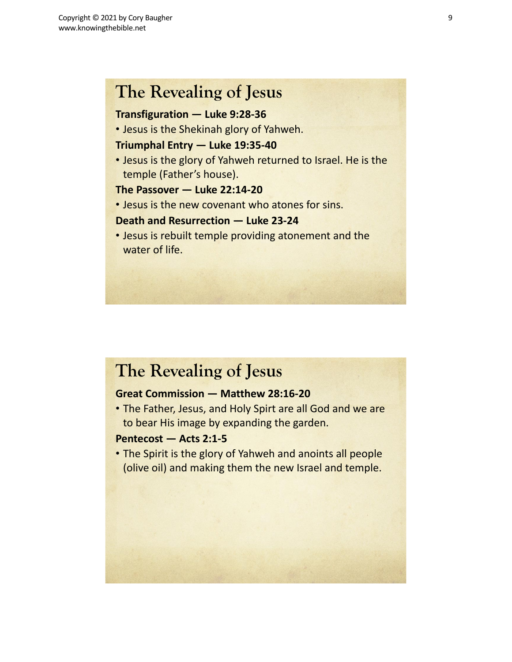## **The Revealing of Jesus**

### **Transfiguration — Luke 9:28-36**

• Jesus is the Shekinah glory of Yahweh.

### **Triumphal Entry — Luke 19:35-40**

• Jesus is the glory of Yahweh returned to Israel. He is the temple (Father's house).

### **The Passover — Luke 22:14-20**

• Jesus is the new covenant who atones for sins.

### **Death and Resurrection — Luke 23-24**

• Jesus is rebuilt temple providing atonement and the water of life.

# **The Revealing of Jesus**

### **Great Commission — Matthew 28:16-20**

• The Father, Jesus, and Holy Spirt are all God and we are to bear His image by expanding the garden.

### **Pentecost — Acts 2:1-5**

• The Spirit is the glory of Yahweh and anoints all people (olive oil) and making them the new Israel and temple.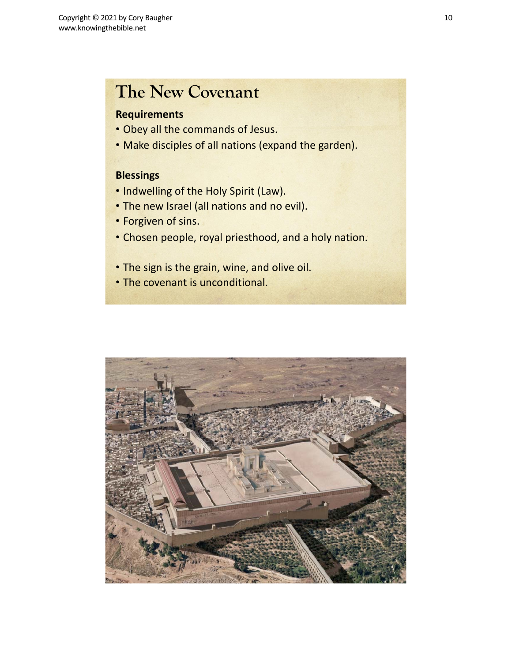### **Requirements**

- Obey all the commands of Jesus.
- Make disciples of all nations (expand the garden).

### **Blessings**

- Indwelling of the Holy Spirit (Law).
- The new Israel (all nations and no evil).
- Forgiven of sins.
- Chosen people, royal priesthood, and a holy nation.
- The sign is the grain, wine, and olive oil.
- The covenant is unconditional.

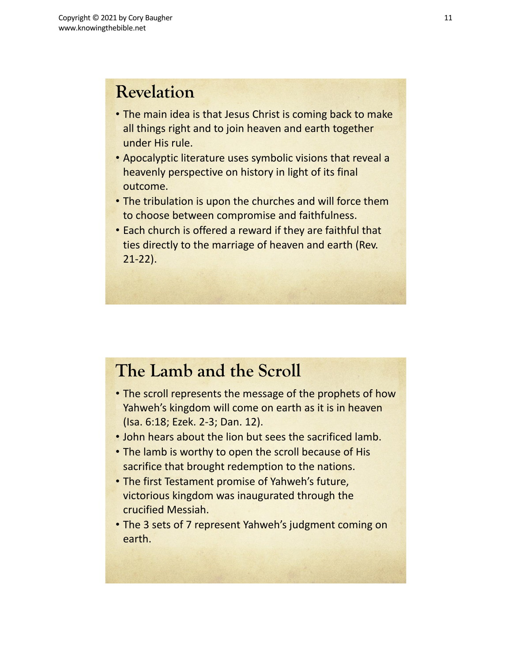# **Revelation**

- The main idea is that Jesus Christ is coming back to make all things right and to join heaven and earth together under His rule.
- Apocalyptic literature uses symbolic visions that reveal a heavenly perspective on history in light of its final outcome.
- The tribulation is upon the churches and will force them to choose between compromise and faithfulness.
- Each church is offered a reward if they are faithful that ties directly to the marriage of heaven and earth (Rev. 21-22).

# **The Lamb and the Scroll**

- The scroll represents the message of the prophets of how Yahweh's kingdom will come on earth as it is in heaven (Isa. 6:18; Ezek. 2-3; Dan. 12).
- John hears about the lion but sees the sacrificed lamb.
- The lamb is worthy to open the scroll because of His sacrifice that brought redemption to the nations.
- The first Testament promise of Yahweh's future, victorious kingdom was inaugurated through the crucified Messiah.
- The 3 sets of 7 represent Yahweh's judgment coming on earth.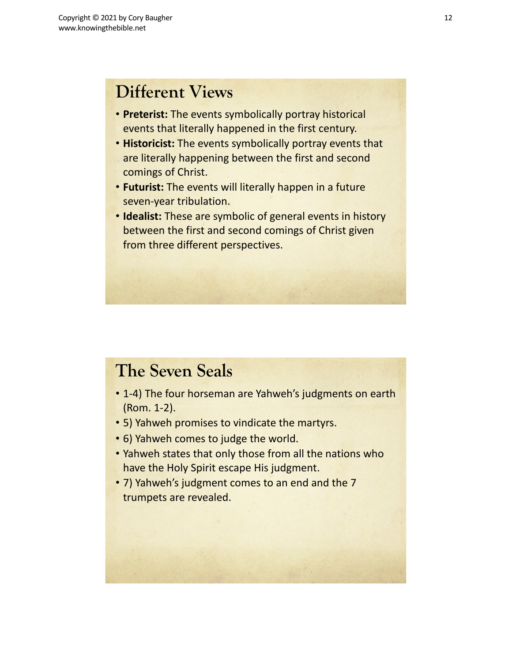# **Different Views**

- **Preterist:** The events symbolically portray historical events that literally happened in the first century.
- **Historicist:** The events symbolically portray events that are literally happening between the first and second comings of Christ.
- **Futurist:** The events will literally happen in a future seven-year tribulation.
- **Idealist:** These are symbolic of general events in history between the first and second comings of Christ given from three different perspectives.

## **The Seven Seals**

- 1-4) The four horseman are Yahweh's judgments on earth (Rom. 1-2).
- 5) Yahweh promises to vindicate the martyrs.
- 6) Yahweh comes to judge the world.
- Yahweh states that only those from all the nations who have the Holy Spirit escape His judgment.
- 7) Yahweh's judgment comes to an end and the 7 trumpets are revealed.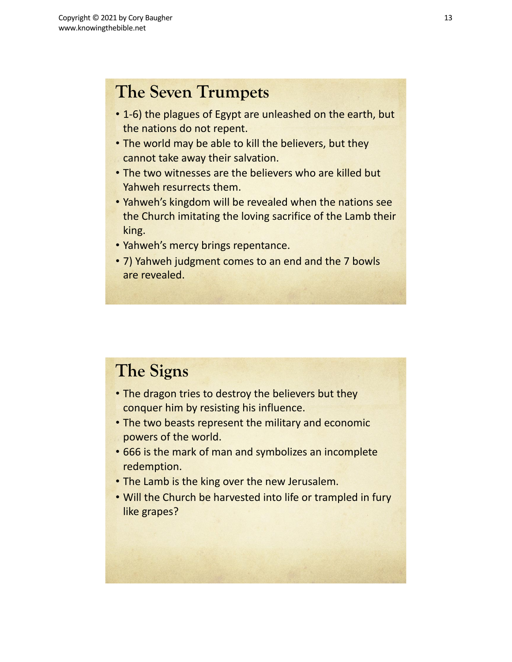# **The Seven Trumpets**

- 1-6) the plagues of Egypt are unleashed on the earth, but the nations do not repent.
- The world may be able to kill the believers, but they cannot take away their salvation.
- The two witnesses are the believers who are killed but Yahweh resurrects them.
- Yahweh's kingdom will be revealed when the nations see the Church imitating the loving sacrifice of the Lamb their king.
- Yahweh's mercy brings repentance.
- 7) Yahweh judgment comes to an end and the 7 bowls are revealed.

# **The Signs**

- The dragon tries to destroy the believers but they conquer him by resisting his influence.
- The two beasts represent the military and economic powers of the world.
- 666 is the mark of man and symbolizes an incomplete redemption.
- The Lamb is the king over the new Jerusalem.
- Will the Church be harvested into life or trampled in fury like grapes?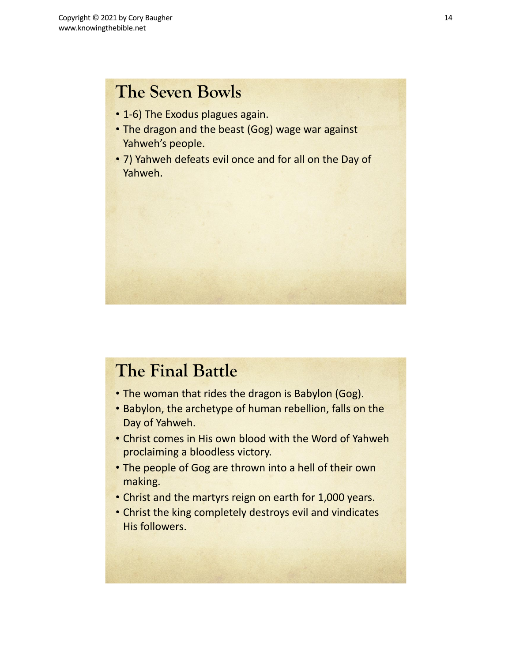# **The Seven Bowls**

- 1-6) The Exodus plagues again.
- The dragon and the beast (Gog) wage war against Yahweh's people.
- 7) Yahweh defeats evil once and for all on the Day of Yahweh.

# **The Final Battle**

- The woman that rides the dragon is Babylon (Gog).
- Babylon, the archetype of human rebellion, falls on the Day of Yahweh.
- Christ comes in His own blood with the Word of Yahweh proclaiming a bloodless victory.
- The people of Gog are thrown into a hell of their own making.
- Christ and the martyrs reign on earth for 1,000 years.
- Christ the king completely destroys evil and vindicates His followers.